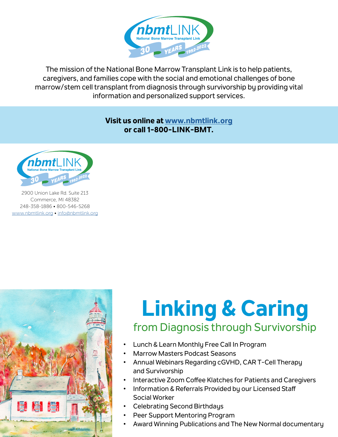

The mission of the National Bone Marrow Transplant Link is to help patients, caregivers, and families cope with the social and emotional challenges of bone marrow/stem cell transplant from diagnosis through survivorship by providing vital information and personalized support services.

> **Visit us online at [www.nbmtlink.org](https://www.nbmtlink.org/) or call 1-800-LINK-BMT.**



2900 Union Lake Rd. Suite 213 Commerce, MI 48382 248-358-1886 • 800-546-5268 [www.nbmtlink.org](https://www.nbmtlink.org/) • [info@nbmtlink.org](mailto:info%40nbmtlink.org?subject=)



# **Linking & Caring** from Diagnosis through Survivorship

- Lunch & Learn Monthly Free Call In Program
- Marrow Masters Podcast Seasons
- Annual Webinars Regarding cGVHD, CAR T-Cell Therapy and Survivorship
- Interactive Zoom Coffee Klatches for Patients and Caregivers
- Information & Referrals Provided by our Licensed Staff Social Worker
- Celebrating Second Birthdays
- Peer Support Mentoring Program
- Award Winning Publications and The New Normal documentary